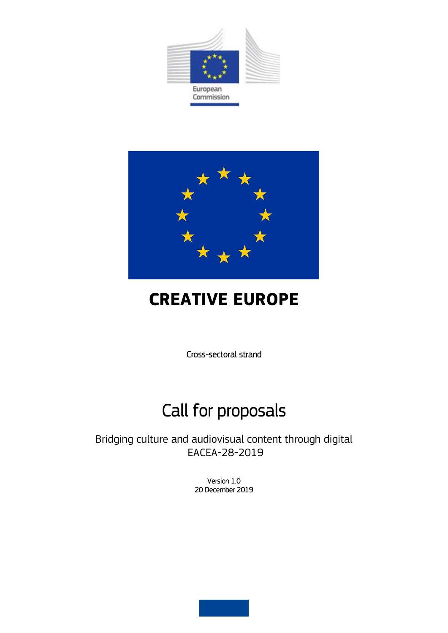



# **CREATIVE EUROPE**

Cross-sectoral strand

# Call for proposals

Bridging culture and audiovisual content through digital EACEA-28-2019

> Version 1.0 20 December 2019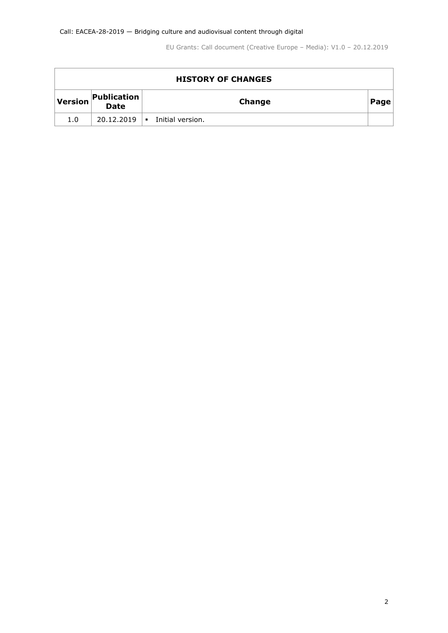| <b>HISTORY OF CHANGES</b> |                                   |                  |      |  |  |  |  |
|---------------------------|-----------------------------------|------------------|------|--|--|--|--|
| <b>Version</b>            | <b>Publication</b><br><b>Date</b> | Change           | Page |  |  |  |  |
| 1.0                       | $20.12.2019$                      | Initial version. |      |  |  |  |  |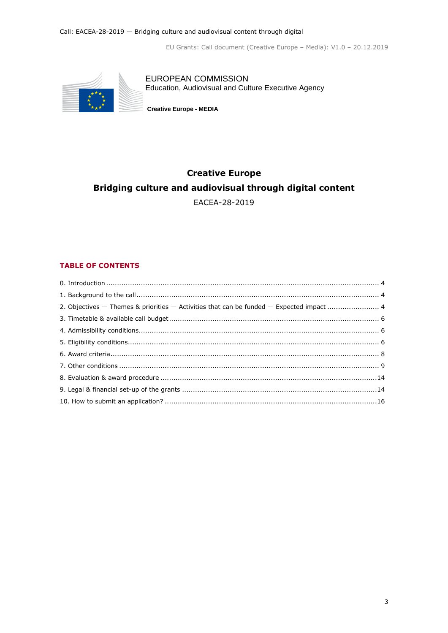

EUROPEAN COMMISSION Education, Audiovisual and Culture Executive Agency

**Creative Europe - MEDIA** 

# **Creative Europe Bridging culture and audiovisual through digital content** EACEA-28-2019

### **TABLE OF CONTENTS**

<span id="page-2-0"></span>

| 2. Objectives - Themes & priorities - Activities that can be funded - Expected impact  4 |  |
|------------------------------------------------------------------------------------------|--|
|                                                                                          |  |
|                                                                                          |  |
|                                                                                          |  |
|                                                                                          |  |
|                                                                                          |  |
|                                                                                          |  |
|                                                                                          |  |
|                                                                                          |  |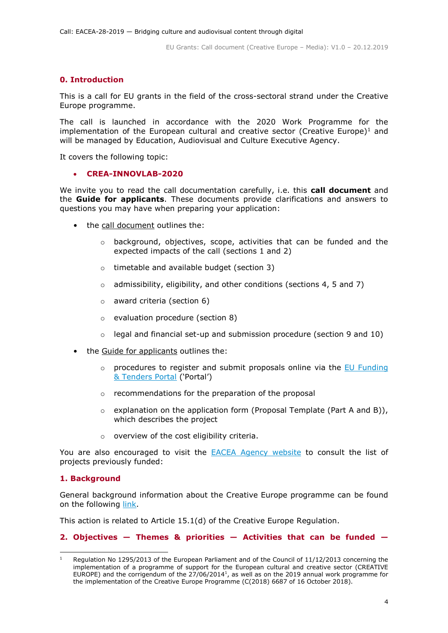# **0. Introduction**

This is a call for EU grants in the field of the cross-sectoral strand under the Creative Europe programme.

The call is launched in accordance with the 2020 Work Programme for the implementation of the European cultural and creative sector (Creative Europe)<sup>1</sup> and will be managed by Education, Audiovisual and Culture Executive Agency.

It covers the following topic:

#### **CREA-INNOVLAB-2020**

We invite you to read the call documentation carefully, i.e. this **call document** and the **Guide for applicants**. These documents provide clarifications and answers to questions you may have when preparing your application:

- the call document outlines the:
	- o background, objectives, scope, activities that can be funded and the expected impacts of the call (sections 1 and 2)
	- o timetable and available budget (section 3)
	- $\circ$  admissibility, eligibility, and other conditions (sections 4, 5 and 7)
	- o award criteria (section 6)
	- o evaluation procedure (section 8)
	- $\circ$  legal and financial set-up and submission procedure (section 9 and 10)
- the Guide for applicants outlines the:
	- $\circ$  procedures to register and submit proposals online via the EU Funding [& Tenders Portal](https://ec.europa.eu/info/funding-tenders/opportunities/portal/screen/home) ('Portal')
	- o recommendations for the preparation of the proposal
	- $\circ$  explanation on the application form (Proposal Template (Part A and B)), which describes the project
	- o overview of the cost eligibility criteria.

You are also encouraged to visit the **[EACEA Agency website](https://eacea.ec.europa.eu/creative-europe/selection-results/bridging-culture-and-audiovisual-content-through-digital_en)** to consult the list of projects previously funded:

#### <span id="page-3-0"></span>**1. Background**

-

<span id="page-3-1"></span>General background information about the Creative Europe programme can be found on the following [link.](http://ec.europa.eu/programmes/creative-europe/index_en.htm)

This action is related to Article 15.1(d) of the Creative Europe Regulation.

#### **2. Objectives — Themes & priorities — Activities that can be funded —**

<sup>&</sup>lt;sup>1</sup> Regulation No 1295/2013 of the European Parliament and of the Council of 11/12/2013 concerning the implementation of a programme of support for the European cultural and creative sector (CREATIVE EUROPE) and the corrigendum of the  $27/06/2014<sup>1</sup>$ , as well as on the 2019 annual work programme for the implementation of the Creative Europe Programme (C(2018) 6687 of 16 October 2018).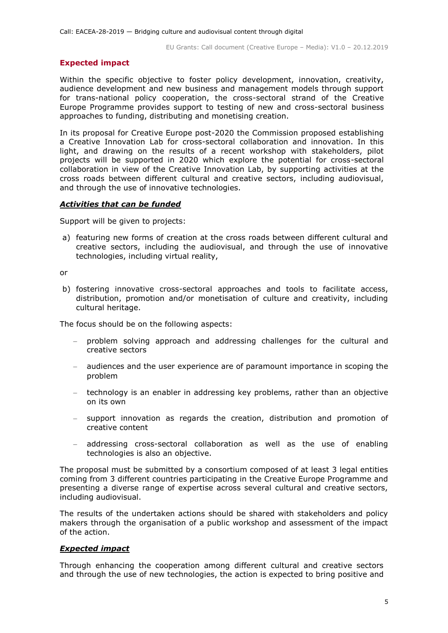#### **Expected impact**

Within the specific objective to foster policy development, innovation, creativity, audience development and new business and management models through support for trans-national policy cooperation, the cross-sectoral strand of the Creative Europe Programme provides support to testing of new and cross-sectoral business approaches to funding, distributing and monetising creation.

In its proposal for Creative Europe post-2020 the Commission proposed establishing a Creative Innovation Lab for cross-sectoral collaboration and innovation. In this light, and drawing on the results of a recent workshop with stakeholders, pilot projects will be supported in 2020 which explore the potential for cross-sectoral collaboration in view of the Creative Innovation Lab, by supporting activities at the cross roads between different cultural and creative sectors, including audiovisual, and through the use of innovative technologies.

#### *Activities that can be funded*

Support will be given to projects:

a) featuring new forms of creation at the cross roads between different cultural and creative sectors, including the audiovisual, and through the use of innovative technologies, including virtual reality,

or

b) fostering innovative cross-sectoral approaches and tools to facilitate access, distribution, promotion and/or monetisation of culture and creativity, including cultural heritage.

The focus should be on the following aspects:

- problem solving approach and addressing challenges for the cultural and creative sectors
- audiences and the user experience are of paramount importance in scoping the problem
- technology is an enabler in addressing key problems, rather than an objective on its own
- support innovation as regards the creation, distribution and promotion of creative content
- addressing cross-sectoral collaboration as well as the use of enabling technologies is also an objective.

The proposal must be submitted by a consortium composed of at least 3 legal entities coming from 3 different countries participating in the Creative Europe Programme and presenting a diverse range of expertise across several cultural and creative sectors, including audiovisual.

The results of the undertaken actions should be shared with stakeholders and policy makers through the organisation of a public workshop and assessment of the impact of the action.

# *Expected impact*

Through enhancing the cooperation among different cultural and creative sectors and through the use of new technologies, the action is expected to bring positive and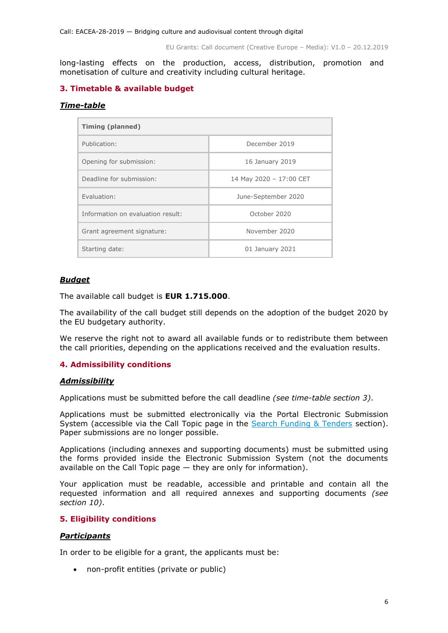long-lasting effects on the production, access, distribution, promotion and monetisation of culture and creativity including cultural heritage.

# <span id="page-5-0"></span>**3. Timetable & available budget**

#### *Time-table*

| <b>Timing (planned)</b>           |                         |  |  |  |
|-----------------------------------|-------------------------|--|--|--|
| Publication:                      | December 2019           |  |  |  |
| Opening for submission:           | 16 January 2019         |  |  |  |
| Deadline for submission:          | 14 May 2020 - 17:00 CET |  |  |  |
| Fvaluation:                       | June-September 2020     |  |  |  |
| Information on evaluation result: | October 2020            |  |  |  |
| Grant agreement signature:        | November 2020           |  |  |  |
| Starting date:                    | 01 January 2021         |  |  |  |

# *Budget*

The available call budget is **EUR 1.715.000**.

The availability of the call budget still depends on the adoption of the budget 2020 by the EU budgetary authority.

We reserve the right not to award all available funds or to redistribute them between the call priorities, depending on the applications received and the evaluation results.

# <span id="page-5-1"></span>**4. Admissibility conditions**

#### *Admissibility*

Applications must be submitted before the call deadline *(see time-table section 3)*.

Applications must be submitted electronically via the Portal Electronic Submission System (accessible via the Call Topic page in the [Search Funding & Tenders](https://ec.europa.eu/info/funding-tenders/opportunities/portal/screen/opportunities/topic-search;freeTextSearchKeyword=;typeCodes=0,1;statusCodes=31094501,31094502,31094503;programCode=null;programDivisionCode=null;focusAreaCode=null;crossCuttingPriorityCode=null;callCode=Default;sortQuery=openingDate;orderBy=asc;onlyTenders=false;topicListKey=topicSearchTablePageState) section). Paper submissions are no longer possible.

Applications (including annexes and supporting documents) must be submitted using the forms provided inside the Electronic Submission System (not the documents available on the Call Topic page — they are only for information).

Your application must be readable, accessible and printable and contain all the requested information and all required annexes and supporting documents *(see section 10)*.

# <span id="page-5-2"></span>**5. Eligibility conditions**

# *Participants*

In order to be eligible for a grant, the applicants must be:

non-profit entities (private or public)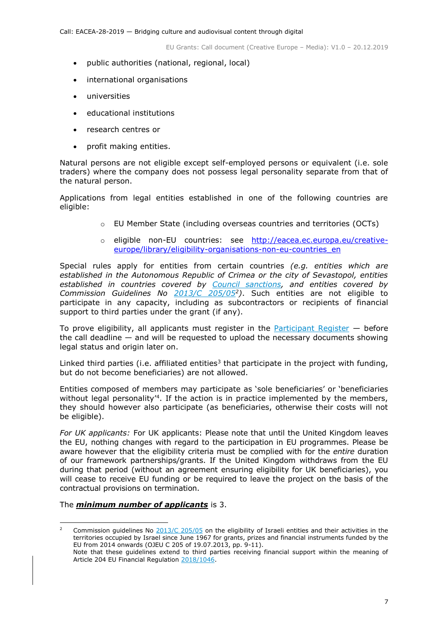- public authorities (national, regional, local)
- international organisations
- universities
- educational institutions
- research centres or
- profit making entities.

Natural persons are not eligible except self-employed persons or equivalent (i.e. sole traders) where the company does not possess legal personality separate from that of the natural person.

Applications from legal entities established in one of the following countries are eligible:

- o EU Member State (including overseas countries and territories (OCTs)
- o eligible non-EU countries: see [http://eacea.ec.europa.eu/creative](http://eacea.ec.europa.eu/creative-europe/library/eligibility-organisations-non-eu-countries_en)[europe/library/eligibility-organisations-non-eu-countries\\_en](http://eacea.ec.europa.eu/creative-europe/library/eligibility-organisations-non-eu-countries_en)

Special rules apply for entities from certain countries *(e.g. entities which are established in the Autonomous Republic of Crimea or the city of Sevastopol, entities established in countries covered by [Council sanctions,](http://eeas.europa.eu/cfsp/sanctions/consol-list_en.htm) and entities covered by Commission Guidelines No [2013/C 205/05](http://eur-lex.europa.eu/LexUriServ/LexUriServ.do?uri=OJ:C:2013:205:FULL:EN:PDF)<sup>2</sup> )*. Such entities are not eligible to participate in any capacity, including as subcontractors or recipients of financial support to third parties under the grant (if any).

To prove eligibility, all applicants must register in the [Participant Register](https://ec.europa.eu/info/funding-tenders/opportunities/portal/screen/how-to-participate/participant-register)  $-$  before the call deadline — and will be requested to upload the necessary documents showing legal status and origin later on.

Linked third parties (i.e. affiliated entities<sup>3</sup> that participate in the project with funding, but do not become beneficiaries) are not allowed.

Entities composed of members may participate as 'sole beneficiaries' or 'beneficiaries without legal personality<sup>'4</sup>. If the action is in practice implemented by the members, they should however also participate (as beneficiaries, otherwise their costs will not be eligible).

*For UK applicants:* For UK applicants: Please note that until the United Kingdom leaves the EU, nothing changes with regard to the participation in EU programmes. Please be aware however that the eligibility criteria must be complied with for the *entire* duration of our framework partnerships/grants. If the United Kingdom withdraws from the EU during that period (without an agreement ensuring eligibility for UK beneficiaries), you will cease to receive EU funding or be required to leave the project on the basis of the contractual provisions on termination.

#### The *minimum number of applicants* is 3.

<sup>-</sup><sup>2</sup> Commission guidelines No  $\frac{2013}{C}$   $\frac{205}{05}$  on the eligibility of Israeli entities and their activities in the territories occupied by Israel since June 1967 for grants, prizes and financial instruments funded by the EU from 2014 onwards (OJEU C 205 of 19.07.2013, pp. 9-11).

Note that these guidelines extend to third parties receiving financial support within the meaning of Article 204 EU Financial Regulatio[n 2018/1046.](https://eur-lex.europa.eu/legal-content/EN/ALL/?uri=CELEX:32018R1046&qid=1535046024012)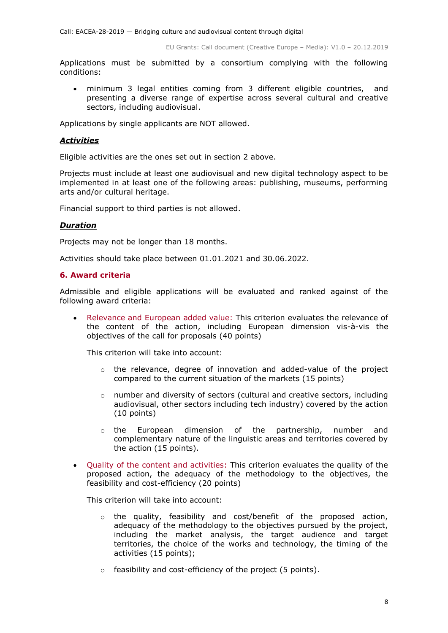Applications must be submitted by a consortium complying with the following conditions:

 minimum 3 legal entities coming from 3 different eligible countries, and presenting a diverse range of expertise across several cultural and creative sectors, including audiovisual.

Applications by single applicants are NOT allowed.

#### *Activities*

Eligible activities are the ones set out in section 2 above.

Projects must include at least one audiovisual and new digital technology aspect to be implemented in at least one of the following areas: publishing, museums, performing arts and/or cultural heritage.

Financial support to third parties is not allowed.

#### *Duration*

Projects may not be longer than 18 months.

Activities should take place between 01.01.2021 and 30.06.2022.

#### <span id="page-7-0"></span>**6. Award criteria**

Admissible and eligible applications will be evaluated and ranked against of the following award criteria:

 Relevance and European added value: This criterion evaluates the relevance of the content of the action, including European dimension vis-à-vis the objectives of the call for proposals (40 points)

This criterion will take into account:

- $\circ$  the relevance, degree of innovation and added-value of the project compared to the current situation of the markets (15 points)
- o number and diversity of sectors (cultural and creative sectors, including audiovisual, other sectors including tech industry) covered by the action (10 points)
- o the European dimension of the partnership, number and complementary nature of the linguistic areas and territories covered by the action (15 points).
- Quality of the content and activities: This criterion evaluates the quality of the proposed action, the adequacy of the methodology to the objectives, the feasibility and cost-efficiency (20 points)

This criterion will take into account:

- o the quality, feasibility and cost/benefit of the proposed action, adequacy of the methodology to the objectives pursued by the project, including the market analysis, the target audience and target territories, the choice of the works and technology, the timing of the activities (15 points);
- o feasibility and cost-efficiency of the project (5 points).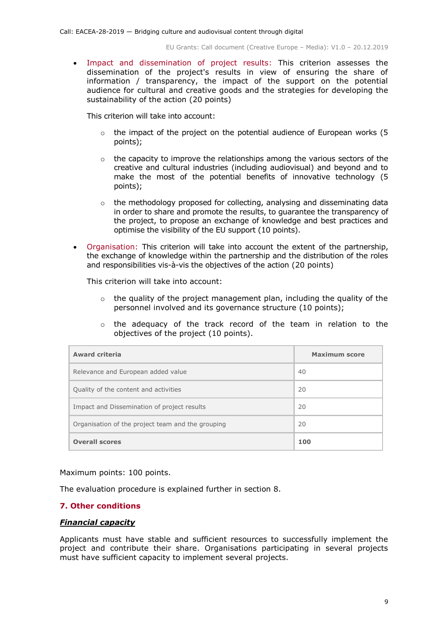Impact and dissemination of project results: This criterion assesses the dissemination of the project's results in view of ensuring the share of information / transparency, the impact of the support on the potential audience for cultural and creative goods and the strategies for developing the sustainability of the action (20 points)

This criterion will take into account:

- $\circ$  the impact of the project on the potential audience of European works (5 points);
- $\circ$  the capacity to improve the relationships among the various sectors of the creative and cultural industries (including audiovisual) and beyond and to make the most of the potential benefits of innovative technology (5 points);
- o the methodology proposed for collecting, analysing and disseminating data in order to share and promote the results, to guarantee the transparency of the project, to propose an exchange of knowledge and best practices and optimise the visibility of the EU support (10 points).
- Organisation: This criterion will take into account the extent of the partnership, the exchange of knowledge within the partnership and the distribution of the roles and responsibilities vis-à-vis the objectives of the action (20 points)

This criterion will take into account:

- $\circ$  the quality of the project management plan, including the quality of the personnel involved and its governance structure (10 points);
- o the adequacy of the track record of the team in relation to the objectives of the project (10 points).

| <b>Award criteria</b>                             | Maximum score |
|---------------------------------------------------|---------------|
| Relevance and European added value                | 40            |
| Quality of the content and activities             | 20            |
| Impact and Dissemination of project results       | 20            |
| Organisation of the project team and the grouping | 20            |
| <b>Overall scores</b>                             | 100           |

Maximum points: 100 points.

The evaluation procedure is explained further in section 8.

#### <span id="page-8-0"></span>**7. Other conditions**

#### *Financial capacity*

Applicants must have stable and sufficient resources to successfully implement the project and contribute their share. Organisations participating in several projects must have sufficient capacity to implement several projects.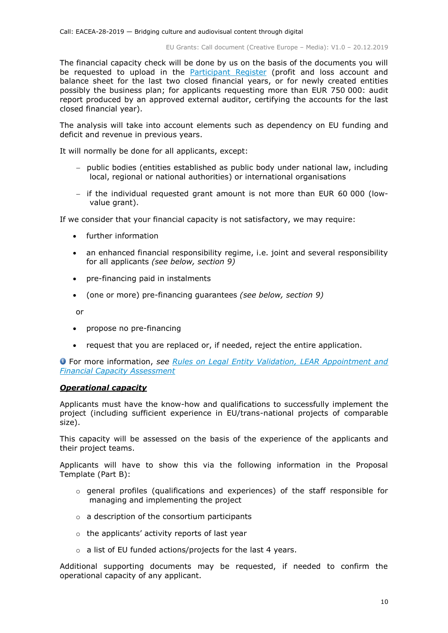The financial capacity check will be done by us on the basis of the documents you will be requested to upload in the **[Participant Register](https://ec.europa.eu/info/funding-tenders/opportunities/portal/screen/how-to-participate/participant-register)** (profit and loss account and balance sheet for the last two closed financial years, or for newly created entities possibly the business plan; for applicants requesting more than EUR 750 000: audit report produced by an approved external auditor, certifying the accounts for the last closed financial year).

The analysis will take into account elements such as dependency on EU funding and deficit and revenue in previous years.

It will normally be done for all applicants, except:

- public bodies (entities established as public body under national law, including local, regional or national authorities) or international organisations
- if the individual requested grant amount is not more than EUR 60 000 (lowvalue grant).

If we consider that your financial capacity is not satisfactory, we may require:

- further information
- an enhanced financial responsibility regime, i.e. joint and several responsibility for all applicants *(see below, section 9)*
- pre-financing paid in instalments
- (one or more) pre-financing guarantees *(see below, section 9)*

or

- propose no pre-financing
- request that you are replaced or, if needed, reject the entire application.

For more information, *see [Rules on Legal Entity Validation, LEAR Appointment and](http://ec.europa.eu/research/participants/data/ref/h2020/grants_manual/lev/h2020-rules-lev-lear-fvc_en.pdf)  [Financial Capacity Assessment](http://ec.europa.eu/research/participants/data/ref/h2020/grants_manual/lev/h2020-rules-lev-lear-fvc_en.pdf)*

#### *Operational capacity*

Applicants must have the know-how and qualifications to successfully implement the project (including sufficient experience in EU/trans-national projects of comparable size).

This capacity will be assessed on the basis of the experience of the applicants and their project teams.

Applicants will have to show this via the following information in the Proposal Template (Part B):

- o general profiles (qualifications and experiences) of the staff responsible for managing and implementing the project
- $\circ$  a description of the consortium participants
- o the applicants' activity reports of last year
- o a list of EU funded actions/projects for the last 4 years.

Additional supporting documents may be requested, if needed to confirm the operational capacity of any applicant.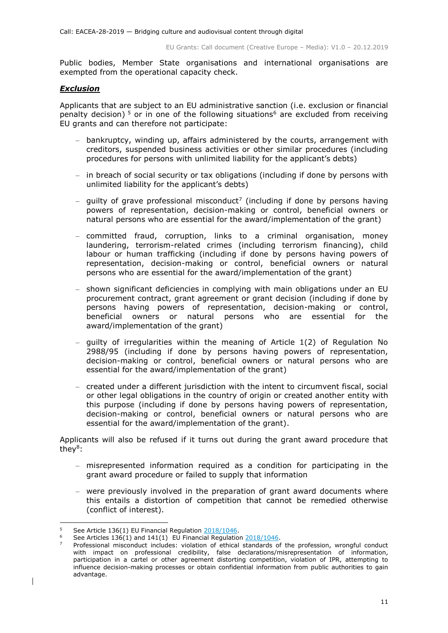Public bodies, Member State organisations and international organisations are exempted from the operational capacity check.

#### *Exclusion*

Applicants that are subject to an EU administrative sanction (i.e. exclusion or financial penalty decision)<sup>5</sup> or in one of the following situations<sup>6</sup> are excluded from receiving EU grants and can therefore not participate:

- bankruptcy, winding up, affairs administered by the courts, arrangement with creditors, suspended business activities or other similar procedures (including procedures for persons with unlimited liability for the applicant's debts)
- in breach of social security or tax obligations (including if done by persons with unlimited liability for the applicant's debts)
- $-$  guilty of grave professional misconduct<sup>7</sup> (including if done by persons having powers of representation, decision-making or control, beneficial owners or natural persons who are essential for the award/implementation of the grant)
- committed fraud, corruption, links to a criminal organisation, money laundering, terrorism-related crimes (including terrorism financing), child labour or human trafficking (including if done by persons having powers of representation, decision-making or control, beneficial owners or natural persons who are essential for the award/implementation of the grant)
- shown significant deficiencies in complying with main obligations under an EU procurement contract, grant agreement or grant decision (including if done by persons having powers of representation, decision-making or control, beneficial owners or natural persons who are essential for the award/implementation of the grant)
- guilty of irregularities within the meaning of Article 1(2) of Regulation No [2988/95](http://eur-lex.europa.eu/legal-content/EN/ALL/?uri=CELEX:31995R2988&qid=1501598622514) (including if done by persons having powers of representation, decision-making or control, beneficial owners or natural persons who are essential for the award/implementation of the grant)
- created under a different jurisdiction with the intent to circumvent fiscal, social or other legal obligations in the country of origin or created another entity with this purpose (including if done by persons having powers of representation, decision-making or control, beneficial owners or natural persons who are essential for the award/implementation of the grant).

Applicants will also be refused if it turns out during the grant award procedure that they<sup>8</sup>:

- misrepresented information required as a condition for participating in the grant award procedure or failed to supply that information
- were previously involved in the preparation of grant award documents where this entails a distortion of competition that cannot be remedied otherwise (conflict of interest).

 $\mathbf{r}$ <sup>5</sup> See Article 136(1) EU Financial Regulation [2018/1046.](https://eur-lex.europa.eu/legal-content/EN/ALL/?uri=CELEX:32018R1046&qid=1535046024012)

See Articles 136(1) and 141(1) EU Financial Regulation [2018/1046.](https://eur-lex.europa.eu/legal-content/EN/ALL/?uri=CELEX:32018R1046&qid=1535046024012)

<sup>7</sup> Professional misconduct includes: violation of ethical standards of the profession, wrongful conduct with impact on professional credibility, false declarations/misrepresentation of information, participation in a cartel or other agreement distorting competition, violation of IPR, attempting to influence decision-making processes or obtain confidential information from public authorities to gain advantage.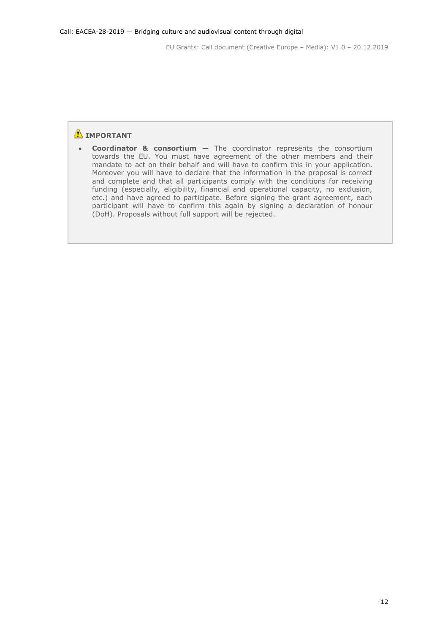# **IMPORTANT**

 **Coordinator & consortium —** The coordinator represents the consortium towards the EU. You must have agreement of the other members and their mandate to act on their behalf and will have to confirm this in your application. Moreover you will have to declare that the information in the proposal is correct and complete and that all participants comply with the conditions for receiving funding (especially, eligibility, financial and operational capacity, no exclusion, etc.) and have agreed to participate. Before signing the grant agreement, each participant will have to confirm this again by signing a declaration of honour (DoH). Proposals without full support will be rejected.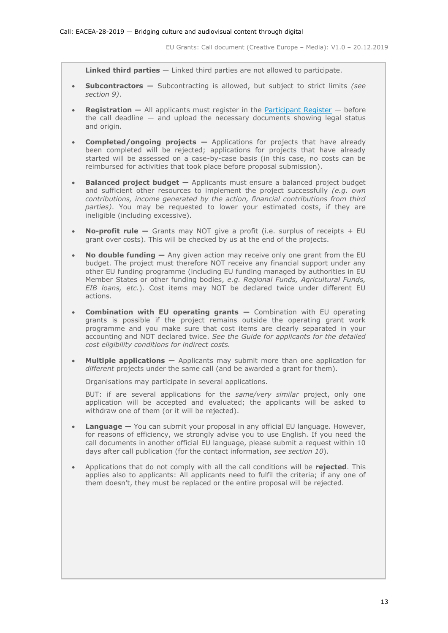**Linked third parties** — Linked third parties are not allowed to participate.

- **Subcontractors —** Subcontracting is allowed, but subject to strict limits *(see section 9)*.
- **Registration –** All applicants must register in the [Participant Register](https://ec.europa.eu/info/funding-tenders/opportunities/portal/screen/how-to-participate/participant-register) before the call deadline  $-$  and upload the necessary documents showing legal status and origin.
- **Completed/ongoing projects —** Applications for projects that have already been completed will be rejected; applications for projects that have already started will be assessed on a case-by-case basis (in this case, no costs can be reimbursed for activities that took place before proposal submission).
- **Balanced project budget –** Applicants must ensure a balanced project budget and sufficient other resources to implement the project successfully *(e.g. own contributions, income generated by the action, financial contributions from third parties)*. You may be requested to lower your estimated costs, if they are ineligible (including excessive).
- **No-profit rule —** Grants may NOT give a profit (i.e. surplus of receipts + EU grant over costs). This will be checked by us at the end of the projects.
- **No double funding —** Any given action may receive only one grant from the EU budget. The project must therefore NOT receive any financial support under any other EU funding programme (including EU funding managed by authorities in EU Member States or other funding bodies, *e.g. Regional Funds, Agricultural Funds, EIB loans, etc.*). Cost items may NOT be declared twice under different EU actions.
- **Combination with EU operating grants —** Combination with EU operating grants is possible if the project remains outside the operating grant work programme and you make sure that cost items are clearly separated in your accounting and NOT declared twice. *See the Guide for applicants for the detailed cost eligibility conditions for indirect costs.*
- **Multiple applications —** Applicants may submit more than one application for *different* projects under the same call (and be awarded a grant for them).

Organisations may participate in several applications.

BUT: if are several applications for the *same/very similar* project, only one application will be accepted and evaluated; the applicants will be asked to withdraw one of them (or it will be rejected).

- **Language —** You can submit your proposal in any official EU language. However, for reasons of efficiency, we strongly advise you to use English. If you need the call documents in another official EU language, please submit a request within 10 days after call publication (for the contact information, *see section 10*).
- Applications that do not comply with all the call conditions will be **rejected**. This applies also to applicants: All applicants need to fulfil the criteria; if any one of them doesn't, they must be replaced or the entire proposal will be rejected.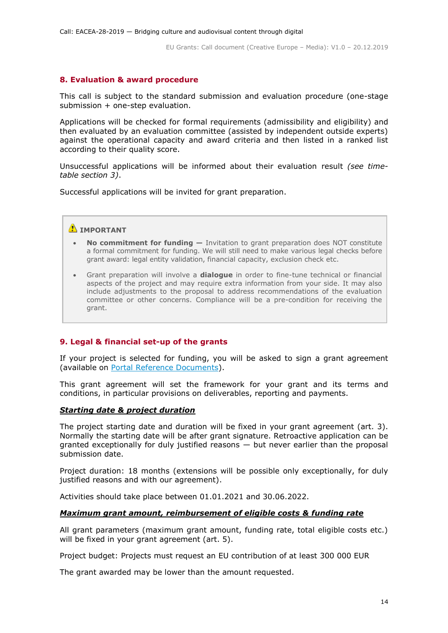# <span id="page-13-0"></span>**8. Evaluation & award procedure**

This call is subject to the standard submission and evaluation procedure (one-stage submission + one-step evaluation.

Applications will be checked for formal requirements (admissibility and eligibility) and then evaluated by an evaluation committee (assisted by independent outside experts) against the operational capacity and award criteria and then listed in a ranked list according to their quality score.

Unsuccessful applications will be informed about their evaluation result *(see timetable section 3)*.

Successful applications will be invited for grant preparation.

### **IMPORTANT**

- **No commitment for funding —** Invitation to grant preparation does NOT constitute a formal commitment for funding. We will still need to make various legal checks before grant award: legal entity validation, financial capacity, exclusion check etc.
- Grant preparation will involve a **dialogue** in order to fine-tune technical or financial aspects of the project and may require extra information from your side. It may also include adjustments to the proposal to address recommendations of the evaluation committee or other concerns. Compliance will be a pre-condition for receiving the grant.

#### <span id="page-13-1"></span>**9. Legal & financial set-up of the grants**

If your project is selected for funding, you will be asked to sign a grant agreement (available on [Portal Reference Documents\)](https://ec.europa.eu/info/funding-tenders/opportunities/portal/screen/how-to-participate/reference-documents).

This grant agreement will set the framework for your grant and its terms and conditions, in particular provisions on deliverables, reporting and payments.

#### *Starting date & project duration*

The project starting date and duration will be fixed in your grant agreement (art. 3). Normally the starting date will be after grant signature. Retroactive application can be granted exceptionally for duly justified reasons  $-$  but never earlier than the proposal submission date.

Project duration: 18 months (extensions will be possible only exceptionally, for duly justified reasons and with our agreement).

Activities should take place between 01.01.2021 and 30.06.2022.

#### *Maximum grant amount, reimbursement of eligible costs & funding rate*

All grant parameters (maximum grant amount, funding rate, total eligible costs etc.) will be fixed in your grant agreement (art. 5).

Project budget: Projects must request an EU contribution of at least 300 000 EUR

The grant awarded may be lower than the amount requested.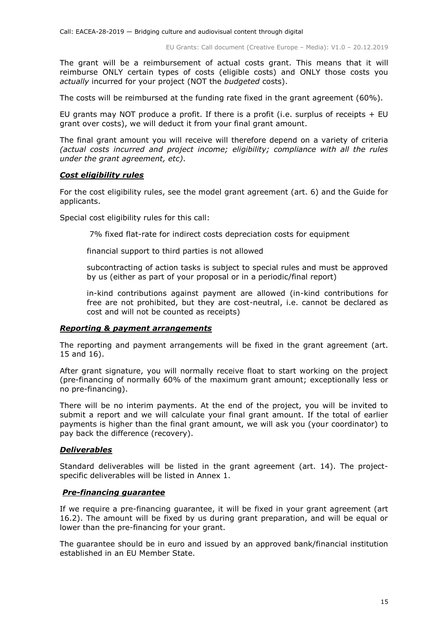The grant will be a reimbursement of actual costs grant. This means that it will reimburse ONLY certain types of costs (eligible costs) and ONLY those costs you *actually* incurred for your project (NOT the *budgeted* costs).

The costs will be reimbursed at the funding rate fixed in the grant agreement (60%).

EU grants may NOT produce a profit. If there is a profit (i.e. surplus of receipts  $+$  EU grant over costs), we will deduct it from your final grant amount.

The final grant amount you will receive will therefore depend on a variety of criteria *(actual costs incurred and project income; eligibility; compliance with all the rules under the grant agreement, etc)*.

#### *Cost eligibility rules*

For the cost eligibility rules, see the model grant agreement (art. 6) and the Guide for applicants.

Special cost eligibility rules for this call:

7% fixed flat-rate for indirect costs depreciation costs for equipment

financial support to third parties is not allowed

subcontracting of action tasks is subject to special rules and must be approved by us (either as part of your proposal or in a periodic/final report)

in-kind contributions against payment are allowed (in-kind contributions for free are not prohibited, but they are cost-neutral, i.e. cannot be declared as cost and will not be counted as receipts)

#### *Reporting & payment arrangements*

The reporting and payment arrangements will be fixed in the grant agreement (art. 15 and 16).

After grant signature, you will normally receive float to start working on the project (pre-financing of normally 60% of the maximum grant amount; exceptionally less or no pre-financing).

There will be no interim payments. At the end of the project, you will be invited to submit a report and we will calculate your final grant amount. If the total of earlier payments is higher than the final grant amount, we will ask you (your coordinator) to pay back the difference (recovery).

#### *Deliverables*

Standard deliverables will be listed in the grant agreement (art. 14). The projectspecific deliverables will be listed in Annex 1.

#### *Pre-financing guarantee*

If we require a pre-financing guarantee, it will be fixed in your grant agreement (art 16.2). The amount will be fixed by us during grant preparation, and will be equal or lower than the pre-financing for your grant.

The guarantee should be in euro and issued by an approved bank/financial institution established in an EU Member State.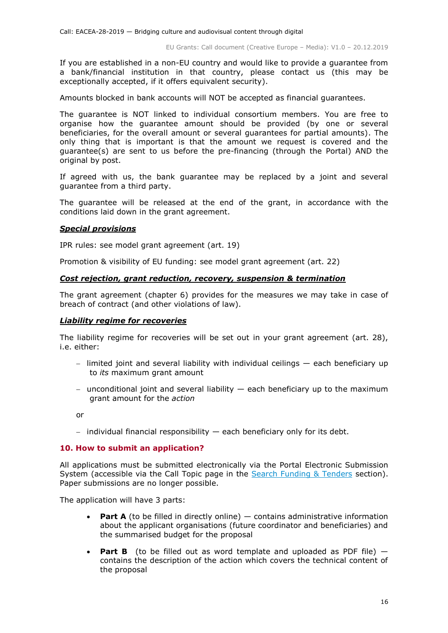If you are established in a non-EU country and would like to provide a guarantee from a bank/financial institution in that country, please contact us (this may be exceptionally accepted, if it offers equivalent security).

Amounts blocked in bank accounts will NOT be accepted as financial guarantees.

The guarantee is NOT linked to individual consortium members. You are free to organise how the guarantee amount should be provided (by one or several beneficiaries, for the overall amount or several guarantees for partial amounts). The only thing that is important is that the amount we request is covered and the guarantee(s) are sent to us before the pre-financing (through the Portal) AND the original by post.

If agreed with us, the bank guarantee may be replaced by a joint and several guarantee from a third party.

The guarantee will be released at the end of the grant, in accordance with the conditions laid down in the grant agreement.

#### *Special provisions*

IPR rules: see model grant agreement (art. 19)

Promotion & visibility of EU funding: see model grant agreement (art. 22)

#### *Cost rejection, grant reduction, recovery, suspension & termination*

The grant agreement (chapter 6) provides for the measures we may take in case of breach of contract (and other violations of law).

#### *Liability regime for recoveries*

The liability regime for recoveries will be set out in your grant agreement (art. 28), i.e. either:

- limited joint and several liability with individual ceilings  $-$  each beneficiary up to *its* maximum grant amount
- unconditional joint and several liability  $-$  each beneficiary up to the maximum grant amount for the *action*

or

 $-$  individual financial responsibility  $-$  each beneficiary only for its debt.

#### <span id="page-15-0"></span>**10. How to submit an application?**

All applications must be submitted electronically via the Portal Electronic Submission System (accessible via the Call Topic page in the [Search Funding & Tenders](https://ec.europa.eu/info/funding-tenders/opportunities/portal/screen/opportunities/topic-search;freeTextSearchKeyword=;typeCodes=0,1;statusCodes=31094501,31094502,31094503;programCode=null;programDivisionCode=null;focusAreaCode=null;crossCuttingPriorityCode=null;callCode=Default;sortQuery=openingDate;orderBy=asc;onlyTenders=false;topicListKey=topicSearchTablePageState) section). Paper submissions are no longer possible.

The application will have 3 parts:

- **Part A** (to be filled in directly online) contains administrative information about the applicant organisations (future coordinator and beneficiaries) and the summarised budget for the proposal
- **Part B** (to be filled out as word template and uploaded as PDF file) contains the description of the action which covers the technical content of the proposal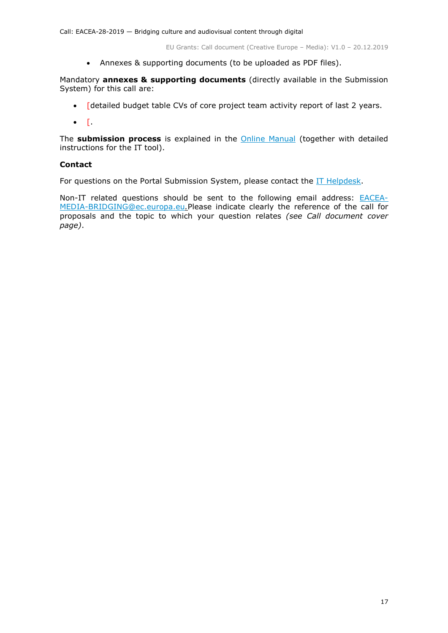Annexes & supporting documents (to be uploaded as PDF files).

Mandatory **annexes & supporting documents** (directly available in the Submission System) for this call are:

- [detailed budget table CVs of core project team activity report of last 2 years.
- $\bullet$  [.

The **submission process** is explained in the [Online Manual](http://ec.europa.eu/research/participants/docs/h2020-funding-guide/grants/applying-for-funding/submit-proposals/submission-tool_en.htm) (together with detailed instructions for the IT tool).

### **Contact**

For questions on the Portal Submission System, please contact the [IT Helpdesk.](https://ec.europa.eu/info/funding-tenders/opportunities/portal/screen/support/helpdesks/contact-form)

Non-IT related questions should be sent to the following email address: [EACEA-](mailto:EACEA-MEDIA-BRIDGING@ec.europa.eu)[MEDIA-BRIDGING@ec.europa.eu](mailto:EACEA-MEDIA-BRIDGING@ec.europa.eu)*.*Please indicate clearly the reference of the call for proposals and the topic to which your question relates *(see Call document cover page)*.